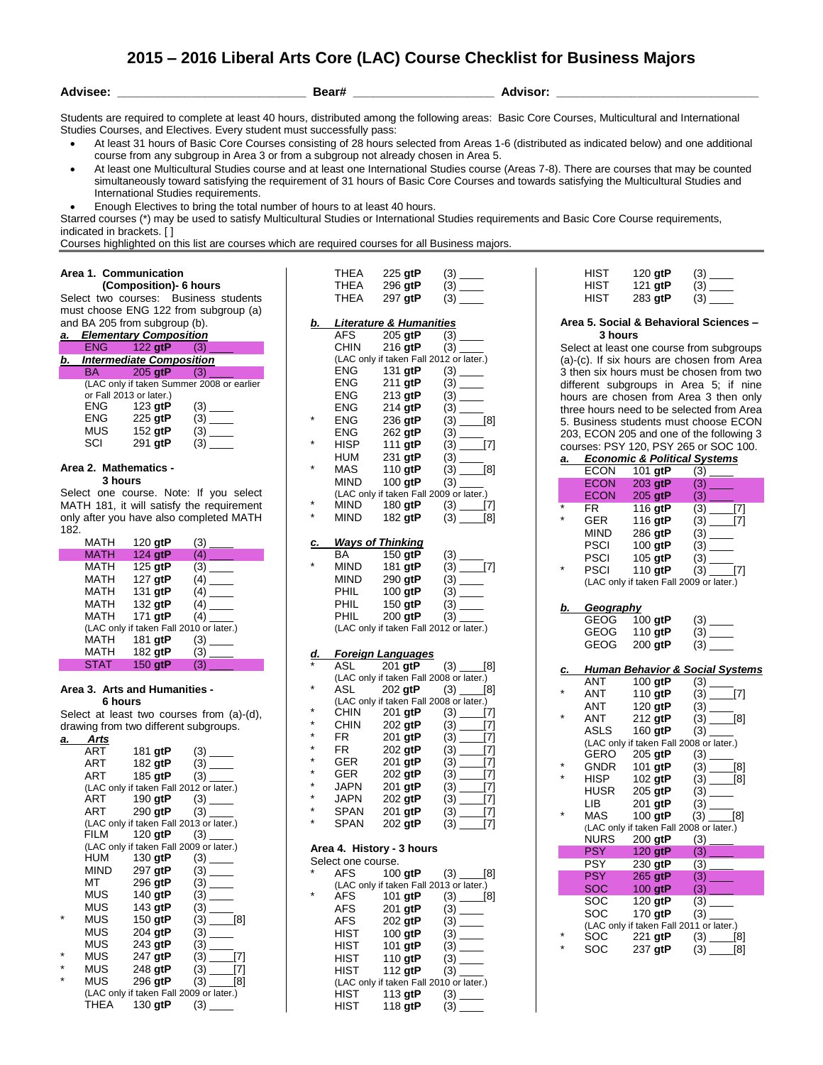# **2015 – 2016 Liberal Arts Core (LAC) Course Checklist for Business Majors**

**Advisee: \_\_\_\_\_\_\_\_\_\_\_\_\_\_\_\_\_\_\_\_\_\_\_\_\_\_\_\_ Bear# \_\_\_\_\_\_\_\_\_\_\_\_\_\_\_\_\_\_\_\_\_ Advisor: \_\_\_\_\_\_\_\_\_\_\_\_\_\_\_\_\_\_\_\_\_\_\_\_\_\_\_\_\_\_**

Students are required to complete at least 40 hours, distributed among the following areas: Basic Core Courses, Multicultural and International Studies Courses, and Electives. Every student must successfully pass:

- At least 31 hours of Basic Core Courses consisting of 28 hours selected from Areas 1-6 (distributed as indicated below) and one additional course from any subgroup in Area 3 or from a subgroup not already chosen in Area 5.
- At least one Multicultural Studies course and at least one International Studies course (Areas 7-8). There are courses that may be counted simultaneously toward satisfying the requirement of 31 hours of Basic Core Courses and towards satisfying the Multicultural Studies and International Studies requirements.
- Enough Electives to bring the total number of hours to at least 40 hours.

Starred courses (\*) may be used to satisfy Multicultural Studies or International Studies requirements and Basic Core Course requirements, indicated in brackets. [ ]

 $T = \Lambda$   $225 \text{ at } \text{P}$   $(3)$ 

Courses highlighted on this list are courses which are required courses for all Business majors.

# **Area 1. Communication**

 **(Composition)- 6 hours** Select two courses: Business students must choose ENG 122 from subgroup (a) and BA 205 from subgroup (b).

| a. |            | <b>Elementary Composition</b>   |                                           |
|----|------------|---------------------------------|-------------------------------------------|
|    | ENG -      | $122$ gtP                       | (3)                                       |
| b. |            | <b>Intermediate Composition</b> |                                           |
|    | BA.        | $205$ gtP                       | (3)                                       |
|    |            |                                 | (LAC only if taken Summer 2008 or earlier |
|    |            | or Fall 2013 or later.)         |                                           |
|    | <b>ENG</b> | 123 gtP                         | (3)                                       |
|    | ENG        | 225 gtP                         | (3)                                       |
|    | MUS        | 152 gtP                         | (3)                                       |
|    | SCI        | 291 atP                         | (3)                                       |

## **Area 2. Mathematics - 3 hours**

Select one course. Note: If you select MATH 181, it will satisfy the requirement only after you have also completed MATH 182.

| <b>MATH</b> | 120 gtP | (3)                                     |
|-------------|---------|-----------------------------------------|
| <b>MATH</b> | 124 gtP | (4)                                     |
| MATH        | 125 gtP | (3)                                     |
| <b>MATH</b> | 127 gtP | (4)                                     |
| MATH        | 131 gtP |                                         |
| <b>MATH</b> | 132 gtP | (4)                                     |
| MATH        | 171 gtP | (4)                                     |
|             |         | (LAC only if taken Fall 2010 or later.) |
| <b>MATH</b> | 181 gtP | (3)                                     |
| MATH        | 182 gtP |                                         |
| <b>STAT</b> | 150 gtP | (3)                                     |

#### **Area 3. Arts and Humanities - 6 hours**

Select at least two courses from (a)-(d), drawing from two different subgroups.

| Arts |                          |                                         |
|------|--------------------------|-----------------------------------------|
| ART  |                          |                                         |
| ART  |                          |                                         |
| ART  |                          |                                         |
|      |                          | (LAC only if taken Fall 2012 or later.) |
|      |                          | ART 190 gtP (3)                         |
|      | ART 290 gtP (3) __       |                                         |
|      |                          | (LAC only if taken Fall 2013 or later.) |
|      | FILM $120$ gtP $(3)$ ___ |                                         |
|      |                          | (LAC only if taken Fall 2009 or later.) |
|      | HUM 130 gtP              |                                         |
|      | MIND 297 gtP             |                                         |
| MT   | 296 <b>gtP</b>           |                                         |
| MUS  | 140 gtP                  |                                         |
| MUS  | 143 gtP                  |                                         |
| MUS  | 150 $qtP$                | $(3)$ [8]                               |
| MUS  | 204 gtP                  |                                         |
| MUS  | 243 gtP                  |                                         |
| MUS  | 247 gtP                  | [7]                                     |
| MUS  | 248 <b>gtP</b>           | $(3)$ [7]                               |
| MUS  | 296 qtP                  | $(3)$ [8]                               |
|      |                          | (LAC only if taken Fall 2009 or later.) |
|      | THEA 130 gtP             |                                         |

|           | 11 ILA<br>THEA<br>THEA | ∠∠∪ yır<br>296 gtP<br>297 gtP                          | $\omega$ —<br>$\begin{array}{c} (3) \quad \text{---} \\ (3) \quad \text{---} \end{array}$                                                                      |
|-----------|------------------------|--------------------------------------------------------|----------------------------------------------------------------------------------------------------------------------------------------------------------------|
| <u>b.</u> |                        | <b>Literature &amp; Humanities</b>                     |                                                                                                                                                                |
|           | AFS                    | $205$ gtP $(3)$ ________                               |                                                                                                                                                                |
|           | CHIN                   | 216 gtP                                                |                                                                                                                                                                |
|           |                        | (LAC only if taken Fall 2012 or later.)                |                                                                                                                                                                |
|           | ENG<br>ENG             |                                                        |                                                                                                                                                                |
|           |                        |                                                        |                                                                                                                                                                |
|           | ENG<br>ENG             | 213 gtP<br>214 gtP                                     |                                                                                                                                                                |
| *         | ENG                    | 236 gtP                                                |                                                                                                                                                                |
|           | ENG                    | $262$ gtP                                              |                                                                                                                                                                |
| *         | <b>HISP</b>            | 111 $g$ t $P$                                          | $(3)$<br>$(3)$<br>$(3)$<br>$(3)$<br>$(3)$<br>$(7)$<br>$(3)$<br>$(3)$<br>$(3)$<br>$(3)$<br>$(3)$<br>$(3)$                                                       |
|           | HUM                    | 231 gtP                                                |                                                                                                                                                                |
| ×         | MAS                    | 110 gtP<br>100 gtP                                     | $\overline{(\frac{3}{2})}$ [8]                                                                                                                                 |
|           | MIND                   |                                                        |                                                                                                                                                                |
|           | MIND                   |                                                        | (LAC only if taken Fall 2009 or later.)<br>$(3)$ (3) [7]                                                                                                       |
| ×         | MIND                   | 182 gtP                                                | $(3)$ ______[8]                                                                                                                                                |
|           |                        |                                                        |                                                                                                                                                                |
| <u>c.</u> |                        | <b>Ways of Thinking</b>                                |                                                                                                                                                                |
|           | BA                     | 150 gtP                                                |                                                                                                                                                                |
| ×         | MIND                   | 181 gtP                                                |                                                                                                                                                                |
|           | MIND                   | 290 gtP                                                |                                                                                                                                                                |
|           | PHIL                   | $100$ gtP                                              | $\ddot{\text{(3)}}$ $\frac{\ }{\ }$                                                                                                                            |
|           | PHIL                   | 150 gtP                                                |                                                                                                                                                                |
|           | PHIL                   |                                                        |                                                                                                                                                                |
|           |                        | (LAC only if taken Fall 2012 or later.)                |                                                                                                                                                                |
|           |                        |                                                        |                                                                                                                                                                |
|           |                        |                                                        |                                                                                                                                                                |
| <u>d.</u> |                        | <b>Foreign Languages</b>                               |                                                                                                                                                                |
|           |                        |                                                        | ASL 201 gtP (3) [8]<br>(LAC only if taken Fall 2008 or later.)                                                                                                 |
|           | ASL                    | 202 <b>gtP</b>                                         | $(3)$ _____[8]                                                                                                                                                 |
| *         |                        |                                                        | (LAC only if taken Fall 2008 or later.)                                                                                                                        |
| $\star$   | CHIN                   |                                                        | 201 gtP $(3)$ [7]                                                                                                                                              |
| $\star$   |                        | 202 gtP                                                | $(3)$ [7]                                                                                                                                                      |
| ×         | CHIN<br>FR             | 201 gtP                                                | $(3)$ $\frac{1}{2}$ $[7]$                                                                                                                                      |
| *         | FR                     | 202 gtP                                                |                                                                                                                                                                |
| *         | GER<br>GER             | $201$ gtP                                              |                                                                                                                                                                |
| $\star$   |                        | 202 gtP                                                | $(3)$ [7]<br>$(3)$ [7]<br>$(3)$ [7]                                                                                                                            |
| $\star$   |                        |                                                        |                                                                                                                                                                |
| $\star$   |                        |                                                        |                                                                                                                                                                |
| $\star$   |                        |                                                        |                                                                                                                                                                |
|           |                        |                                                        | USER 202 ytr (3) $[7]$<br>JAPN 202 gt <b>P</b> (3) $[7]$<br>SPAN 201 gt <b>P</b> (3) $[7]$<br>SPAN 201 gt <b>P</b> (3) $[7]$<br>SPAN 202 gt <b>P</b> (3) $[7]$ |
|           |                        | Area 4. History - 3 hours                              |                                                                                                                                                                |
|           | Select one course.     |                                                        |                                                                                                                                                                |
|           |                        | AFS 100 gtP<br>(LAC only if taken Fall 2013 or later.) | $(3)$ ______[8]                                                                                                                                                |
|           | AFS                    | 101 gtP                                                | $(3)$ ______[8]                                                                                                                                                |
|           | <b>AFS</b>             | 201 gtP                                                |                                                                                                                                                                |
|           | AFS                    | 202 gtP                                                | (3)<br>$\overline{\phantom{a}}$                                                                                                                                |
|           | HIST                   | 100 gtP                                                | (3)<br>$\frac{1}{1}$                                                                                                                                           |
|           | HIST                   | 101 gtP                                                |                                                                                                                                                                |
|           | <b>HIST</b>            | 110 gtP                                                | (3)                                                                                                                                                            |
|           | <b>HIST</b>            | 112 gtP                                                |                                                                                                                                                                |
|           | HIST                   | (LAC only if taken Fall 2010 or later.)<br>113 gtP     | (3)<br>$\overline{\phantom{a}}$                                                                                                                                |

| HIST | 120 $gtP$ | (3) |
|------|-----------|-----|
| HIST | 121 gtP   |     |
| HIST | 283 $gtP$ | (3) |

## **Area 5. Social & Behavioral Sciences – 3 hours**

Select at least one course from subgroups (a)-(c). If six hours are chosen from Area 3 then six hours must be chosen from two different subgroups in Area 5; if nine hours are chosen from Area 3 then only three hours need to be selected from Area 5. Business students must choose ECON 203, ECON 205 and one of the following 3 courses: PSY 120, PSY 265 or SOC 100.

| а.      |             | <b>Economic &amp; Political Systems</b> |            |
|---------|-------------|-----------------------------------------|------------|
|         | ECON        | 101 gtP                                 | (3)        |
|         | <b>ECON</b> | 203 gtP                                 | (3)        |
|         | <b>ECON</b> | 205 gtP                                 | (3)        |
| $\star$ | FR.         | 116 gtP                                 | (3)<br>171 |
| $\star$ | GER         | 116 gtP                                 | (3)<br>[7] |
|         | <b>MIND</b> | 286 gtP                                 | (3)        |
|         | <b>PSCI</b> | 100 gtP                                 | (3)        |
|         | <b>PSCI</b> | 105 gtP                                 | (3)        |
|         | <b>PSCI</b> | 110 gtP                                 | (3)<br>171 |
|         |             | (LAC only if taken Fall 2009 or later.) |            |

# *b. Geography*

| GEOG | 100 $gtP$ | (3) |
|------|-----------|-----|
| GEOG | 110 $gtP$ | (3) |
| GEOG | $200$ gtP | (3) |

## *c. Human Behavior & Social Systems*

|   | <b>ANT</b>  | 100 gtP                                 | (3)        |
|---|-------------|-----------------------------------------|------------|
|   | <b>ANT</b>  | 110 gtP                                 | (3)<br>[7] |
|   | <b>ANT</b>  | 120 $gtP$                               | (3)        |
|   | ANT         | 212 gtP                                 | [8]        |
|   | ASLS        | 160 gtP                                 |            |
|   |             | (LAC only if taken Fall 2008 or later.) |            |
|   | GERO        | 205 gtP                                 | (3)        |
| ÷ | <b>GNDR</b> | 101 gtP                                 | [8]        |
|   | HISP        | 102 $qtP$                               | $(3)$ [8]  |
|   | HUSR        | 205 gtP                                 |            |
|   | LІB         | 201 gtP                                 |            |
|   | MAS         | 100 $qtP$                               | $(3)$ [8]  |
|   |             | (LAC only if taken Fall 2008 or later.) |            |
|   | <b>NURS</b> | 200 gtP                                 |            |
|   | <b>PSY</b>  | 120 gtP                                 |            |
|   | PSY.        | 230 gtP                                 |            |
|   | <b>PSY</b>  | 265 gtP                                 |            |
|   | <b>SOC</b>  | 100 gtP                                 |            |
|   | SOC         | $120$ gtP                               |            |
|   | SOC         | 170 gtP                                 | (3)        |
|   |             | (LAC only if taken Fall 2011 or later.) |            |
|   | SOC         | 221 gtP                                 | (3)<br>[8] |
|   | SOC         | 237 gtP                                 | [8]<br>(3) |